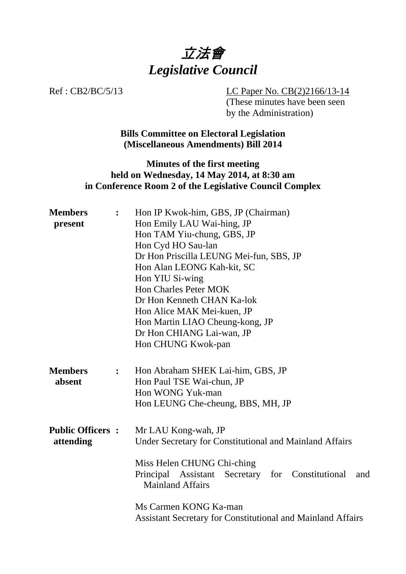

Ref : CB2/BC/5/13 LC Paper No. CB(2)2166/13-14 (These minutes have been seen by the Administration)

> **Bills Committee on Electoral Legislation (Miscellaneous Amendments) Bill 2014**

### **Minutes of the first meeting held on Wednesday, 14 May 2014, at 8:30 am in Conference Room 2 of the Legislative Council Complex**

| <b>Members</b>          | $\ddot{\cdot}$ | Hon IP Kwok-him, GBS, JP (Chairman)                                                |  |  |  |
|-------------------------|----------------|------------------------------------------------------------------------------------|--|--|--|
| present                 |                | Hon Emily LAU Wai-hing, JP                                                         |  |  |  |
|                         |                | Hon TAM Yiu-chung, GBS, JP                                                         |  |  |  |
|                         |                | Hon Cyd HO Sau-lan                                                                 |  |  |  |
|                         |                | Dr Hon Priscilla LEUNG Mei-fun, SBS, JP                                            |  |  |  |
|                         |                | Hon Alan LEONG Kah-kit, SC                                                         |  |  |  |
|                         |                | Hon YIU Si-wing                                                                    |  |  |  |
|                         |                | <b>Hon Charles Peter MOK</b>                                                       |  |  |  |
|                         |                | Dr Hon Kenneth CHAN Ka-lok                                                         |  |  |  |
|                         |                | Hon Alice MAK Mei-kuen, JP                                                         |  |  |  |
|                         |                | Hon Martin LIAO Cheung-kong, JP                                                    |  |  |  |
|                         |                | Dr Hon CHIANG Lai-wan, JP                                                          |  |  |  |
|                         |                | Hon CHUNG Kwok-pan                                                                 |  |  |  |
|                         |                |                                                                                    |  |  |  |
| <b>Members</b>          | $\ddot{\cdot}$ | Hon Abraham SHEK Lai-him, GBS, JP                                                  |  |  |  |
| absent                  |                | Hon Paul TSE Wai-chun, JP                                                          |  |  |  |
|                         |                | Hon WONG Yuk-man                                                                   |  |  |  |
|                         |                | Hon LEUNG Che-cheung, BBS, MH, JP                                                  |  |  |  |
|                         |                |                                                                                    |  |  |  |
|                         |                |                                                                                    |  |  |  |
| <b>Public Officers:</b> |                | Mr LAU Kong-wah, JP                                                                |  |  |  |
| attending               |                | Under Secretary for Constitutional and Mainland Affairs                            |  |  |  |
|                         |                | Miss Helen CHUNG Chi-ching                                                         |  |  |  |
|                         |                |                                                                                    |  |  |  |
|                         |                | Principal Assistant Secretary for Constitutional<br>and<br><b>Mainland Affairs</b> |  |  |  |
|                         |                |                                                                                    |  |  |  |
|                         |                | Ms Carmen KONG Ka-man                                                              |  |  |  |
|                         |                | <b>Assistant Secretary for Constitutional and Mainland Affairs</b>                 |  |  |  |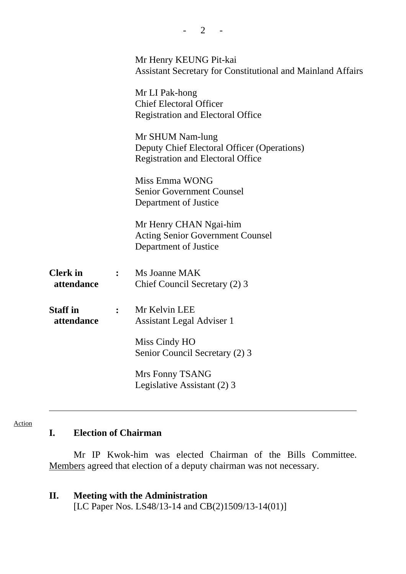|                               |                | Mr Henry KEUNG Pit-kai<br><b>Assistant Secretary for Constitutional and Mainland Affairs</b>                |  |
|-------------------------------|----------------|-------------------------------------------------------------------------------------------------------------|--|
|                               |                | Mr LI Pak-hong<br><b>Chief Electoral Officer</b><br><b>Registration and Electoral Office</b>                |  |
|                               |                | Mr SHUM Nam-lung<br>Deputy Chief Electoral Officer (Operations)<br><b>Registration and Electoral Office</b> |  |
|                               |                | Miss Emma WONG<br><b>Senior Government Counsel</b><br>Department of Justice                                 |  |
|                               |                | Mr Henry CHAN Ngai-him<br><b>Acting Senior Government Counsel</b><br>Department of Justice                  |  |
| <b>Clerk</b> in<br>attendance | $\ddot{\cdot}$ | Ms Joanne MAK<br>Chief Council Secretary (2) 3                                                              |  |
| <b>Staff in</b><br>attendance | $\ddot{\cdot}$ | Mr Kelvin LEE<br>Assistant Legal Adviser 1                                                                  |  |
|                               |                | Miss Cindy HO<br>Senior Council Secretary (2) 3                                                             |  |
|                               |                | Mrs Fonny TSANG<br>Legislative Assistant (2) 3                                                              |  |

 $- 2 - 1$ 

#### Action

# **I. Election of Chairman**

1. Mr IP Kwok-him was elected Chairman of the Bills Committee. Members agreed that election of a deputy chairman was not necessary.

### **II. Meeting with the Administration**

[LC Paper Nos. LS48/13-14 and CB(2)1509/13-14(01)]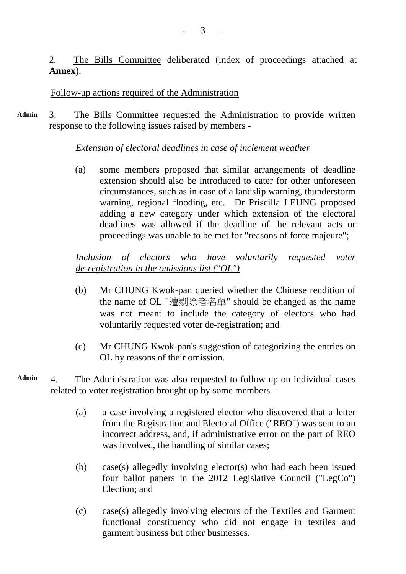2. The Bills Committee deliberated (index of proceedings attached at **Annex**).

### Follow-up actions required of the Administration

**Admin**  3. The Bills Committee requested the Administration to provide written response to the following issues raised by members -

### *Extension of electoral deadlines in case of inclement weather*

(a) some members proposed that similar arrangements of deadline extension should also be introduced to cater for other unforeseen circumstances, such as in case of a landslip warning, thunderstorm warning, regional flooding, etc. Dr Priscilla LEUNG proposed adding a new category under which extension of the electoral deadlines was allowed if the deadline of the relevant acts or proceedings was unable to be met for "reasons of force majeure";

### *Inclusion of electors who have voluntarily requested voter de-registration in the omissions list ("OL")*

- (b) Mr CHUNG Kwok-pan queried whether the Chinese rendition of the name of OL "遭剔除者名單" should be changed as the name was not meant to include the category of electors who had voluntarily requested voter de-registration; and
- (c) Mr CHUNG Kwok-pan's suggestion of categorizing the entries on OL by reasons of their omission.
- **Admin** 4. The Administration was also requested to follow up on individual cases related to voter registration brought up by some members –
	- (a) a case involving a registered elector who discovered that a letter from the Registration and Electoral Office ("REO") was sent to an incorrect address, and, if administrative error on the part of REO was involved, the handling of similar cases;
	- (b) case(s) allegedly involving elector(s) who had each been issued four ballot papers in the 2012 Legislative Council ("LegCo") Election; and
	- (c) case(s) allegedly involving electors of the Textiles and Garment functional constituency who did not engage in textiles and garment business but other businesses.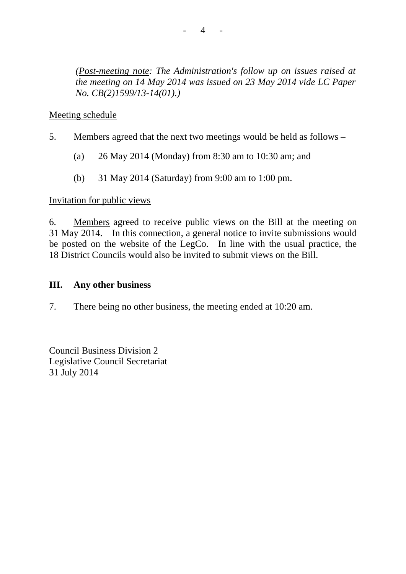*(Post-meeting note: The Administration's follow up on issues raised at the meeting on 14 May 2014 was issued on 23 May 2014 vide LC Paper No. CB(2)1599/13-14(01).)*

### Meeting schedule

- 5. Members agreed that the next two meetings would be held as follows
	- (a) 26 May 2014 (Monday) from 8:30 am to 10:30 am; and
	- (b) 31 May 2014 (Saturday) from 9:00 am to 1:00 pm.

#### Invitation for public views

6. Members agreed to receive public views on the Bill at the meeting on 31 May 2014. In this connection, a general notice to invite submissions would be posted on the website of the LegCo. In line with the usual practice, the 18 District Councils would also be invited to submit views on the Bill.

#### **III. Any other business**

7. There being no other business, the meeting ended at 10:20 am.

Council Business Division 2 Legislative Council Secretariat 31 July 2014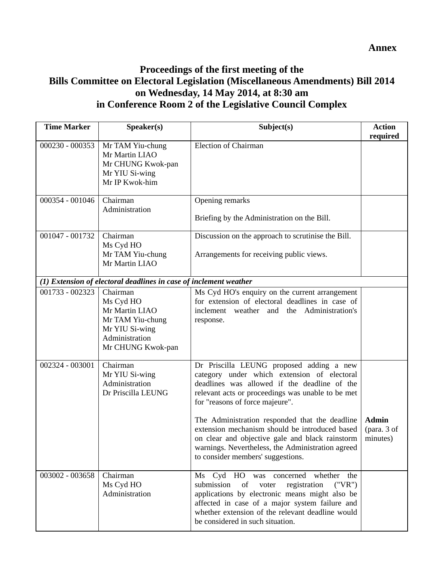**Annex** 

## **Proceedings of the first meeting of the Bills Committee on Electoral Legislation (Miscellaneous Amendments) Bill 2014 on Wednesday, 14 May 2014, at 8:30 am in Conference Room 2 of the Legislative Council Complex**

| <b>Time Marker</b> | Speaker(s)                                                                                                           | Subject(s)                                                                                                                                                                                                                                                                                                                                                                                                                                                                       | <b>Action</b><br>required               |
|--------------------|----------------------------------------------------------------------------------------------------------------------|----------------------------------------------------------------------------------------------------------------------------------------------------------------------------------------------------------------------------------------------------------------------------------------------------------------------------------------------------------------------------------------------------------------------------------------------------------------------------------|-----------------------------------------|
| 000230 - 000353    | Mr TAM Yiu-chung<br>Mr Martin LIAO<br>Mr CHUNG Kwok-pan<br>Mr YIU Si-wing<br>Mr IP Kwok-him                          | <b>Election of Chairman</b>                                                                                                                                                                                                                                                                                                                                                                                                                                                      |                                         |
| 000354 - 001046    | Chairman<br>Administration                                                                                           | Opening remarks<br>Briefing by the Administration on the Bill.                                                                                                                                                                                                                                                                                                                                                                                                                   |                                         |
| 001047 - 001732    | Chairman<br>Ms Cyd HO<br>Mr TAM Yiu-chung<br>Mr Martin LIAO                                                          | Discussion on the approach to scrutinise the Bill.<br>Arrangements for receiving public views.                                                                                                                                                                                                                                                                                                                                                                                   |                                         |
|                    | (1) Extension of electoral deadlines in case of inclement weather                                                    |                                                                                                                                                                                                                                                                                                                                                                                                                                                                                  |                                         |
| 001733 - 002323    | Chairman<br>Ms Cyd HO<br>Mr Martin LIAO<br>Mr TAM Yiu-chung<br>Mr YIU Si-wing<br>Administration<br>Mr CHUNG Kwok-pan | Ms Cyd HO's enquiry on the current arrangement<br>for extension of electoral deadlines in case of<br>inclement weather and the Administration's<br>response.                                                                                                                                                                                                                                                                                                                     |                                         |
| 002324 - 003001    | Chairman<br>Mr YIU Si-wing<br>Administration<br>Dr Priscilla LEUNG                                                   | Dr Priscilla LEUNG proposed adding a new<br>category under which extension of electoral<br>deadlines was allowed if the deadline of the<br>relevant acts or proceedings was unable to be met<br>for "reasons of force majeure".<br>The Administration responded that the deadline<br>extension mechanism should be introduced based<br>on clear and objective gale and black rainstorm<br>warnings. Nevertheless, the Administration agreed<br>to consider members' suggestions. | <b>Admin</b><br>(para. 3 of<br>minutes) |
| 003002 - 003658    | Chairman<br>Ms Cyd HO<br>Administration                                                                              | Ms Cyd HO was<br>whether<br>concerned<br>the<br>submission<br>of<br>registration<br>("VR")<br>voter<br>applications by electronic means might also be<br>affected in case of a major system failure and<br>whether extension of the relevant deadline would<br>be considered in such situation.                                                                                                                                                                                  |                                         |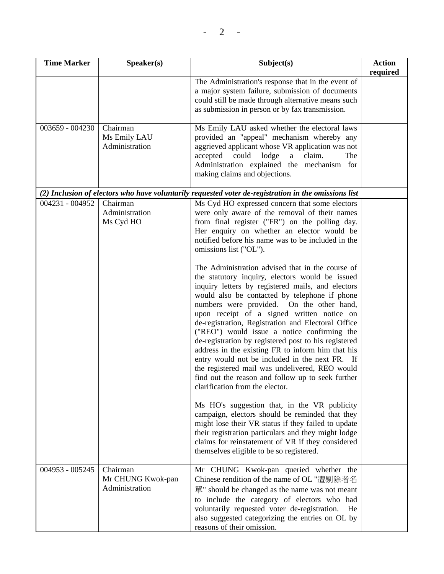| <b>Time Marker</b>                                                                                   | Speaker(s)                                      | Subject(s)                                                                                                                                                                                                                                                                                                                                                                                                                                                                                                                                                                                                                                                                                                                                                                                                                                                                                                                                                                                                                                                                                                                                                                                                                                                                  | <b>Action</b><br>required |
|------------------------------------------------------------------------------------------------------|-------------------------------------------------|-----------------------------------------------------------------------------------------------------------------------------------------------------------------------------------------------------------------------------------------------------------------------------------------------------------------------------------------------------------------------------------------------------------------------------------------------------------------------------------------------------------------------------------------------------------------------------------------------------------------------------------------------------------------------------------------------------------------------------------------------------------------------------------------------------------------------------------------------------------------------------------------------------------------------------------------------------------------------------------------------------------------------------------------------------------------------------------------------------------------------------------------------------------------------------------------------------------------------------------------------------------------------------|---------------------------|
|                                                                                                      |                                                 | The Administration's response that in the event of<br>a major system failure, submission of documents<br>could still be made through alternative means such<br>as submission in person or by fax transmission.                                                                                                                                                                                                                                                                                                                                                                                                                                                                                                                                                                                                                                                                                                                                                                                                                                                                                                                                                                                                                                                              |                           |
| 003659 - 004230                                                                                      | Chairman<br>Ms Emily LAU<br>Administration      | Ms Emily LAU asked whether the electoral laws<br>provided an "appeal" mechanism whereby any<br>aggrieved applicant whose VR application was not<br>could lodge<br>claim.<br>accepted<br>$\mathbf{a}$<br>The<br>Administration explained the mechanism for<br>making claims and objections.                                                                                                                                                                                                                                                                                                                                                                                                                                                                                                                                                                                                                                                                                                                                                                                                                                                                                                                                                                                  |                           |
| (2) Inclusion of electors who have voluntarily requested voter de-registration in the omissions list |                                                 |                                                                                                                                                                                                                                                                                                                                                                                                                                                                                                                                                                                                                                                                                                                                                                                                                                                                                                                                                                                                                                                                                                                                                                                                                                                                             |                           |
| 004231 - 004952                                                                                      | Chairman<br>Administration<br>Ms Cyd HO         | Ms Cyd HO expressed concern that some electors<br>were only aware of the removal of their names<br>from final register ("FR") on the polling day.<br>Her enquiry on whether an elector would be<br>notified before his name was to be included in the<br>omissions list ("OL").<br>The Administration advised that in the course of<br>the statutory inquiry, electors would be issued<br>inquiry letters by registered mails, and electors<br>would also be contacted by telephone if phone<br>numbers were provided. On the other hand,<br>upon receipt of a signed written notice on<br>de-registration, Registration and Electoral Office<br>("REO") would issue a notice confirming the<br>de-registration by registered post to his registered<br>address in the existing FR to inform him that his<br>entry would not be included in the next FR. If<br>the registered mail was undelivered, REO would<br>find out the reason and follow up to seek further<br>clarification from the elector.<br>Ms HO's suggestion that, in the VR publicity<br>campaign, electors should be reminded that they<br>might lose their VR status if they failed to update<br>their registration particulars and they might lodge<br>claims for reinstatement of VR if they considered |                           |
|                                                                                                      |                                                 | themselves eligible to be so registered.                                                                                                                                                                                                                                                                                                                                                                                                                                                                                                                                                                                                                                                                                                                                                                                                                                                                                                                                                                                                                                                                                                                                                                                                                                    |                           |
| 004953 - 005245                                                                                      | Chairman<br>Mr CHUNG Kwok-pan<br>Administration | Mr CHUNG Kwok-pan queried whether the<br>Chinese rendition of the name of OL "遭剔除者名<br>單" should be changed as the name was not meant<br>to include the category of electors who had<br>voluntarily requested voter de-registration.<br>He<br>also suggested categorizing the entries on OL by<br>reasons of their omission.                                                                                                                                                                                                                                                                                                                                                                                                                                                                                                                                                                                                                                                                                                                                                                                                                                                                                                                                                |                           |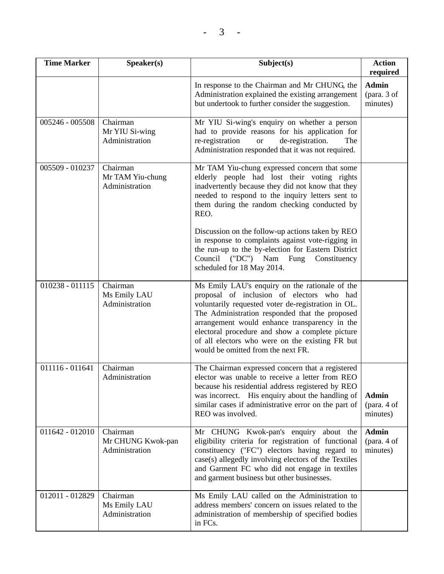| <b>Time Marker</b> | Speaker(s)                                      | Subject(s)                                                                                                                                                                                                                                                                                                                                                                                       | <b>Action</b><br>required               |
|--------------------|-------------------------------------------------|--------------------------------------------------------------------------------------------------------------------------------------------------------------------------------------------------------------------------------------------------------------------------------------------------------------------------------------------------------------------------------------------------|-----------------------------------------|
|                    |                                                 | In response to the Chairman and Mr CHUNG, the<br>Administration explained the existing arrangement<br>but undertook to further consider the suggestion.                                                                                                                                                                                                                                          | <b>Admin</b><br>(para. 3 of<br>minutes) |
| 005246 - 005508    | Chairman<br>Mr YIU Si-wing<br>Administration    | Mr YIU Si-wing's enquiry on whether a person<br>had to provide reasons for his application for<br>re-registration<br>de-registration.<br><b>or</b><br>The<br>Administration responded that it was not required.                                                                                                                                                                                  |                                         |
| 005509 - 010237    | Chairman<br>Mr TAM Yiu-chung<br>Administration  | Mr TAM Yiu-chung expressed concern that some<br>elderly people had lost their voting rights<br>inadvertently because they did not know that they<br>needed to respond to the inquiry letters sent to<br>them during the random checking conducted by<br>REO.                                                                                                                                     |                                         |
|                    |                                                 | Discussion on the follow-up actions taken by REO<br>in response to complaints against vote-rigging in<br>the run-up to the by-election for Eastern District<br>("DC") Nam<br>Council<br>Fung<br>Constituency<br>scheduled for 18 May 2014.                                                                                                                                                       |                                         |
| $010238 - 011115$  | Chairman<br>Ms Emily LAU<br>Administration      | Ms Emily LAU's enquiry on the rationale of the<br>proposal of inclusion of electors who had<br>voluntarily requested voter de-registration in OL.<br>The Administration responded that the proposed<br>arrangement would enhance transparency in the<br>electoral procedure and show a complete picture<br>of all electors who were on the existing FR but<br>would be omitted from the next FR. |                                         |
| 011116 - 011641    | Chairman<br>Administration                      | The Chairman expressed concern that a registered<br>elector was unable to receive a letter from REO<br>because his residential address registered by REO<br>was incorrect. His enquiry about the handling of<br>similar cases if administrative error on the part of<br>REO was involved.                                                                                                        | <b>Admin</b><br>(para. 4 of<br>minutes) |
| 011642 - 012010    | Chairman<br>Mr CHUNG Kwok-pan<br>Administration | Mr CHUNG Kwok-pan's enquiry about the<br>eligibility criteria for registration of functional<br>constituency ("FC") electors having regard to<br>case(s) allegedly involving electors of the Textiles<br>and Garment FC who did not engage in textiles<br>and garment business but other businesses.                                                                                             | <b>Admin</b><br>(para. 4 of<br>minutes) |
| 012011 - 012829    | Chairman<br>Ms Emily LAU<br>Administration      | Ms Emily LAU called on the Administration to<br>address members' concern on issues related to the<br>administration of membership of specified bodies<br>in FCs.                                                                                                                                                                                                                                 |                                         |